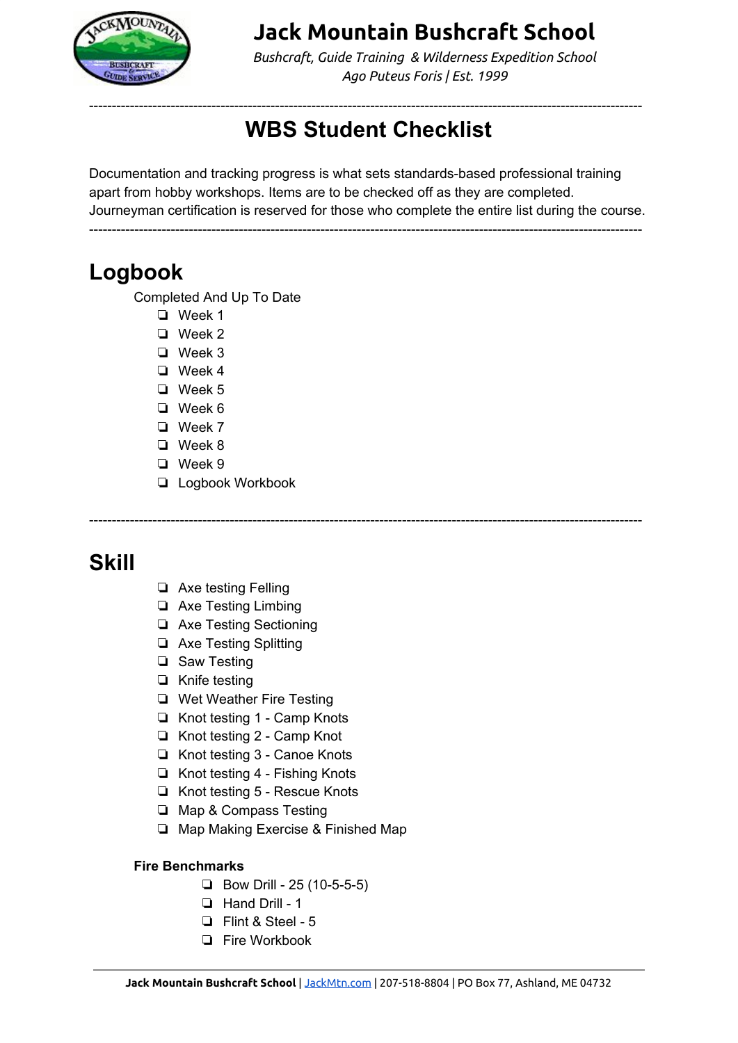

*Bushcraft, Guide Training & Wilderness Expedition School Ago Puteus Foris | Est. 1999*

#### -------------------------------------------------------------------------------------------------------------------------- **WBS Student Checklist**

Documentation and tracking progress is what sets standards-based professional training apart from hobby workshops. Items are to be checked off as they are completed. Journeyman certification is reserved for those who complete the entire list during the course.

--------------------------------------------------------------------------------------------------------------------------

--------------------------------------------------------------------------------------------------------------------------

### **Logbook**

Completed And Up To Date

- ❏ Week 1
- ❏ Week 2
- ❏ Week 3
- ❏ Week 4
- ❏ Week 5
- ❏ Week 6
- ❏ Week 7
- ❏ Week 8 ❏ Week 9
- 
- ❏ Logbook Workbook

## **Skill**

- ❏ Axe testing Felling
- ❏ Axe Testing Limbing
- ❏ Axe Testing Sectioning
- ❏ Axe Testing Splitting
- ❏ Saw Testing
- ❏ Knife testing
- ❏ Wet Weather Fire Testing
- ❏ Knot testing 1 Camp Knots
- ❏ Knot testing 2 Camp Knot
- ❏ Knot testing 3 Canoe Knots
- ❏ Knot testing 4 Fishing Knots
- ❏ Knot testing 5 Rescue Knots
- ❏ Map & Compass Testing
- ❏ Map Making Exercise & Finished Map

#### **Fire Benchmarks**

- ❏ Bow Drill 25 (10-5-5-5)
- ❏ Hand Drill 1
- ❏ Flint & Steel 5
- ❏ Fire Workbook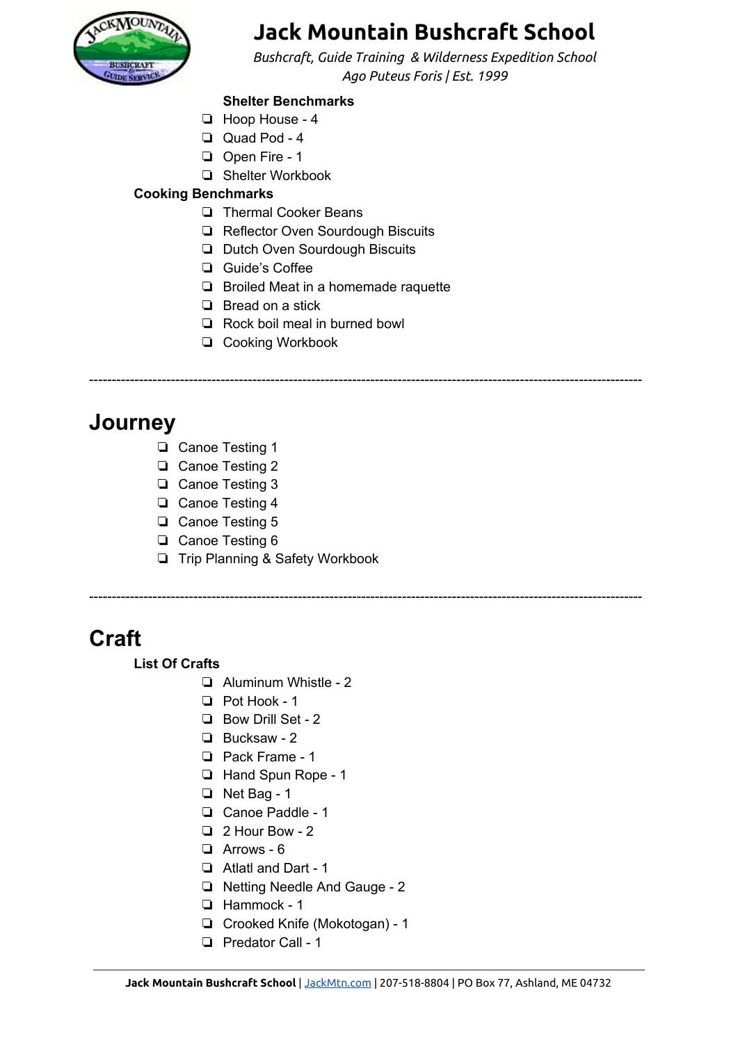

*Bushcraft, Guide Training & Wilderness Expedition School Ago Puteus Foris | Est. 1999*

#### **Shelter Benchmarks**

- ❏ Hoop House 4
- ❏ Quad Pod 4
- ❏ Open Fire 1
- ❏ Shelter Workbook

#### **Cooking Benchmarks**

- ❏ Thermal Cooker Beans
- ❏ Reflector Oven Sourdough Biscuits
- ❏ Dutch Oven Sourdough Biscuits
- ❏ Guide's Coffee
- ❏ Broiled Meat in a homemade raquette
- ❏ Bread on a stick
- ❏ Rock boil meal in burned bowl
- ❏ Cooking Workbook

#### --------------------------------------------------------------------------------------------------------------------------

--------------------------------------------------------------------------------------------------------------------------

## **Journey**

- ❏ Canoe Testing 1
- ❏ Canoe Testing 2
- ❏ Canoe Testing 3
- ❏ Canoe Testing 4
- ❏ Canoe Testing 5
- ❏ Canoe Testing 6
- ❏ Trip Planning & Safety Workbook

## **Craft**

#### **List Of Crafts**

- ❏ Aluminum Whistle 2
- ❏ Pot Hook 1
- ❏ Bow Drill Set 2
- ❏ Bucksaw 2
- ❏ Pack Frame 1
- ❏ Hand Spun Rope 1
- ❏ Net Bag 1
- ❏ Canoe Paddle 1
- ❏ 2 Hour Bow 2
- ❏ Arrows 6
- ❏ Atlatl and Dart 1
- ❏ Netting Needle And Gauge 2
- ❏ Hammock 1
- ❏ Crooked Knife (Mokotogan) 1
- ❏ Predator Call 1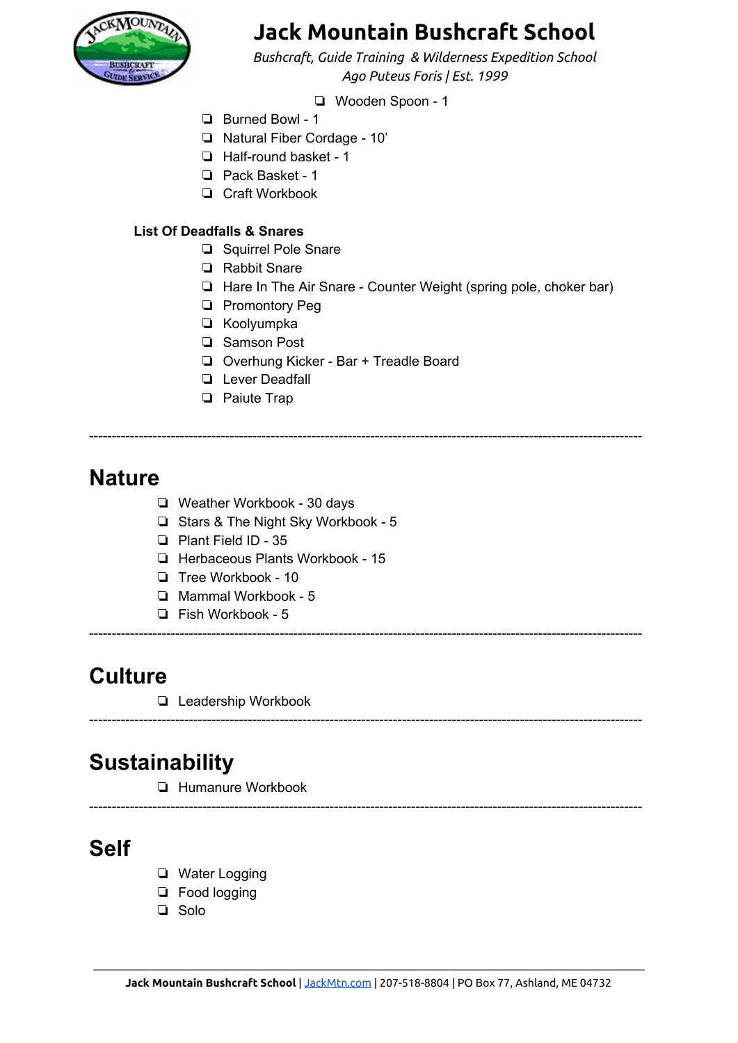

*Bushcraft, Guide Training & Wilderness Expedition School Ago Puteus Foris | Est. 1999*

❏ Wooden Spoon - 1

- ❏ Burned Bowl 1
- ❏ Natural Fiber Cordage 10'
- ❏ Half-round basket 1
- ❏ Pack Basket 1
- ❏ Craft Workbook

#### **List Of Deadfalls & Snares**

- ❏ Squirrel Pole Snare
- ❏ Rabbit Snare
- ❏ Hare In The Air Snare Counter Weight (spring pole, choker bar)
- ❏ Promontory Peg
- ❏ Koolyumpka
- ❏ Samson Post
- ❏ Overhung Kicker Bar + Treadle Board
- ❏ Lever Deadfall
- ❏ Paiute Trap

--------------------------------------------------------------------------------------------------------------------------

--------------------------------------------------------------------------------------------------------------------------

--------------------------------------------------------------------------------------------------------------------------

--------------------------------------------------------------------------------------------------------------------------

### **Nature**

- ❏ Weather Workbook 30 days
- ❏ Stars & The Night Sky Workbook 5
- ❏ Plant Field ID 35
- ❏ Herbaceous Plants Workbook 15
- ❏ Tree Workbook 10
- ❏ Mammal Workbook 5
- ❏ Fish Workbook 5

### **Culture**

❏ Leadership Workbook

## **Sustainability**

❏ Humanure Workbook

### **Self**

- ❏ Water Logging
- ❏ Food logging
- ❏ Solo